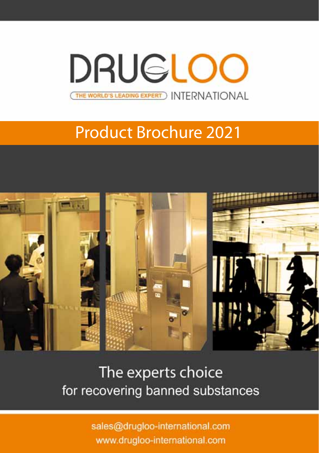**DRUGLOO** THE WORLD'S LEADING EXPERT ) INTERNATIONAL

# Product Brochure 2021



The experts choice for recovering banned substances

> sales@drugloo-international.com www.drugloo-international.com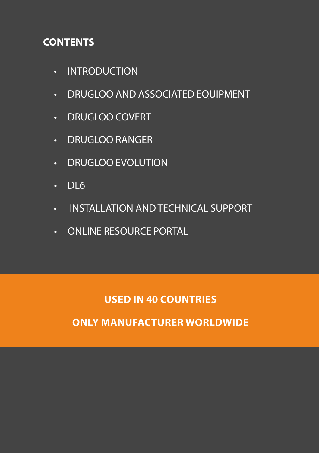# **CONTENTS**

- • INTRODUCTION
- DRUGLOO AND ASSOCIATED EQUIPMENT
- DRUGLOO COVERT
- • Drugloo Ranger
- DRUGLOO EVOLUTION
- $\cdot$  DL6
- • INSTALLATION AND TECHNICAL SUPPORT
- • ONLINE RESOURCE PORTAL

**USED IN 40 COUNTRIES**

**ONLY MANUFACTURER WORLDWIDE**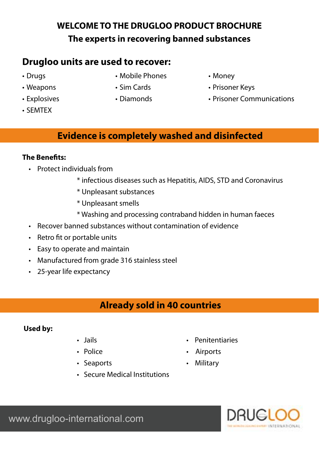# **WELCOME TO THE DRUGLOO PRODUCT BROCHURE The experts in recovering banned substances**

# **Drugloo units are used to recover:**

- • Drugs
- • Weapons
- Explosives
- • SEMTEX
- • Mobile Phones
- • Sim Cards
- • Diamonds
- • Money
- Prisoner Keys
- Prisoner Communications

## **Evidence is completely washed and disinfected**

### **The Benefits:**

- • Protect individuals from
	- \* infectious diseases such as Hepatitis, AIDS, STD and Coronavirus
	- \* Unpleasant substances
	- \* Unpleasant smells
	- \* Washing and processing contraband hidden in human faeces
- • Recover banned substances without contamination of evidence
- Retro fit or portable units
- Easy to operate and maintain
- Manufactured from grade 316 stainless steel
- • 25-year life expectancy

# **Already sold in 40 countries**

#### **Used by:**

- 
- 
- Seaports  **Military**
- Secure Medical Institutions
- Jails  **Penitentiaries**
- Police  **Airports** 
	-

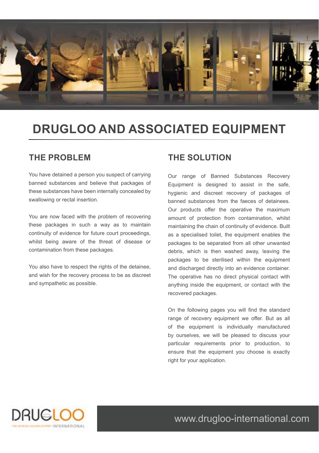

# **Drugloo and Associated Equipment**

### **The Problem**

You have detained a person you suspect of carrying banned substances and believe that packages of these substances have been internally concealed by swallowing or rectal insertion.

You are now faced with the problem of recovering these packages in such a way as to maintain continuity of evidence for future court proceedings, whilst being aware of the threat of disease or contamination from these packages.

You also have to respect the rights of the detainee, and wish for the recovery process to be as discreet and sympathetic as possible.

#### **The Solution**

Our range of Banned Substances Recovery Equipment is designed to assist in the safe, hygienic and discreet recovery of packages of banned substances from the faeces of detainees. Our products offer the operative the maximum amount of protection from contamination, whilst maintaining the chain of continuity of evidence. Built as a specialised toilet, the equipment enables the packages to be separated from all other unwanted debris, which is then washed away, leaving the packages to be sterilised within the equipment and discharged directly into an evidence container. The operative has no direct physical contact with anything inside the equipment, or contact with the recovered packages.

On the following pages you will find the standard range of recovery equipment we offer. But as all of the equipment is individually manufactured by ourselves, we will be pleased to discuss your particular requirements prior to production, to ensure that the equipment you choose is exactly right for your application.

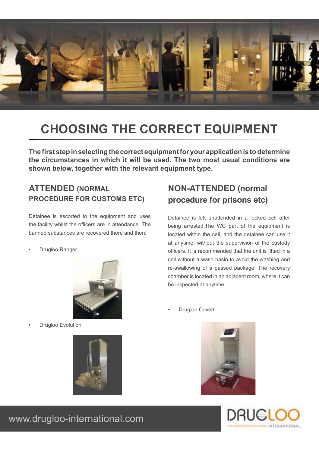

# **Choosing the correct equipment**

**The first step in selecting the correct equipment for your application is to determine the circumstances in which it will be used. The two most usual conditions are shown below, together with the relevant equipment type.**

### **Attended (normal procedure for customs etc)**

Detainee is escorted to the equipment and uses the facility whilst the officers are in attendance. The banned substances are recovered there and then.

• Drugloo Ranger



**Drugloo Evolution** 



## **Non-attended (normal procedure for prisons etc)**

Detainee is left unattended in a locked cell after being arrested.The WC part of the equipment is located within the cell, and the detainee can use it at anytime, without the supervision of the custody officers. It is recommended that the unit is fitted in a cell without a wash basin to avoid the washing and re-swallowing of a passed package. The recovery chamber is located in an adjacent room, where it can be inspected at anytime.

Drugloo Covert



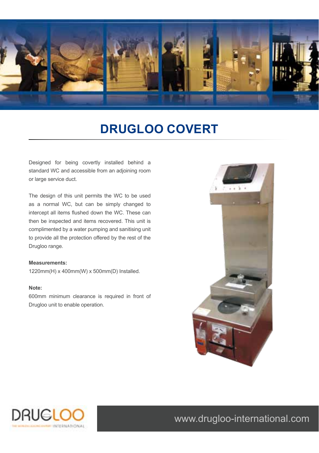

# **Drugloo COVERT**

Designed for being covertly installed behind a standard WC and accessible from an adjoining room or large service duct.

The design of this unit permits the WC to be used as a normal WC, but can be simply changed to intercept all items flushed down the WC. These can then be inspected and items recovered. This unit is complimented by a water pumping and sanitising unit to provide all the protection offered by the rest of the Drugloo range.

#### **Measurements:**

1220mm(H) x 400mm(W) x 500mm(D) Installed.

#### **Note:**

600mm minimum clearance is required in front of Drugloo unit to enable operation.



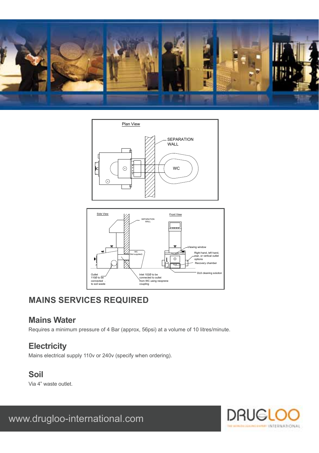





# **MAINS SERVICES REQUIRED**

### **Mains Water**

Requires a minimum pressure of 4 Bar (approx, 56psi) at a volume of 10 litres/minute.

## **Electricity**

Mains electrical supply 110v or 240v (specify when ordering).

### **Soil**

Via 4" waste outlet.

DRUG **INTERNATIONAL**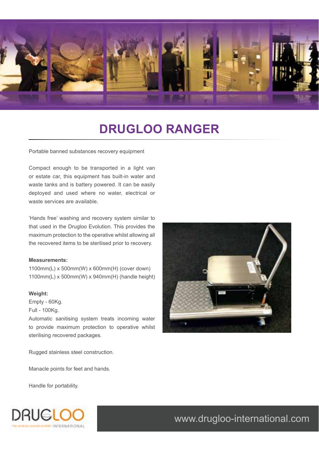

# **DrugLOO Ranger**

Portable banned substances recovery equipment

Compact enough to be transported in a light van or estate car, this equipment has built-in water and waste tanks and is battery powered. It can be easily deployed and used where no water, electrical or waste services are available.

'Hands free' washing and recovery system similar to that used in the Drugloo Evolution. This provides the maximum protection to the operative whilst allowing all the recovered items to be sterilised prior to recovery.

#### **Measurements:**

1100mm(L) x 500mm(W) x 600mm(H) (cover down) 1100mm(L) x 500mm(W) x 940mm(H) (handle height)

#### **Weight:**

Empty - 60Kg.

Full - 100Kg.

Automatic sanitising system treats incoming water to provide maximum protection to operative whilst sterilising recovered packages.

Rugged stainless steel construction.

Manacle points for feet and hands.

Handle for portability.

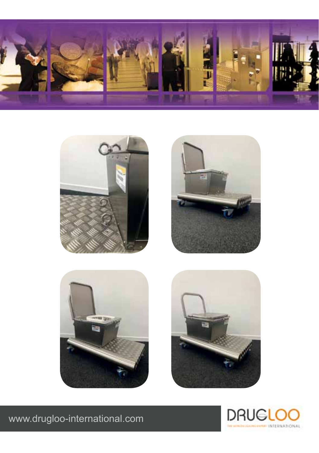









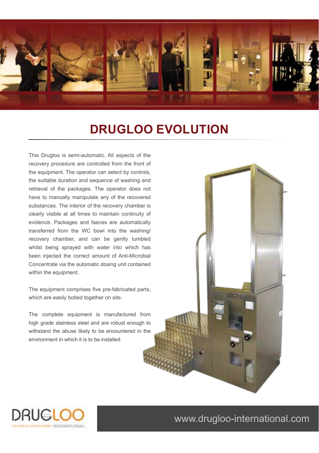

# **Drugloo Evolution**

This Drugloo is semi-automatic. All aspects of the recovery procedure are controlled from the front of the equipment. The operator can select by controls, the suitable duration and sequence of washing and retrieval of the packages. The operator does not have to manually manipulate any of the recovered substances. The interior of the recovery chamber is clearly visible at all times to maintain continuity of evidence. Packages and faeces are automatically transferred from the WC bowl into the washing/ recovery chamber, and can be gently tumbled whilst being sprayed with water into which has been injected the correct amount of Anti-Microbial Concentrate via the automatic dosing unit contained within the equipment.

The equipment comprises five pre-fabricated parts, which are easily bolted together on site.

The complete equipment is manufactured from high grade stainless steel and are robust enough to withstand the abuse likely to be encountered in the environment in which it is to be installed.



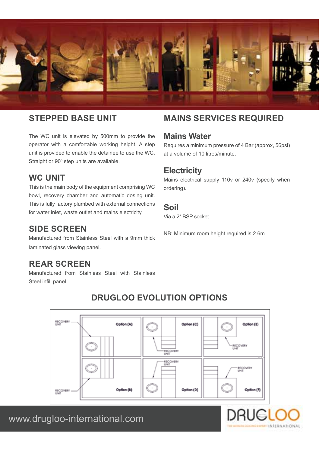

#### **Stepped base unit**

The WC unit is elevated by 500mm to provide the operator with a comfortable working height. A step unit is provided to enable the detainee to use the WC. Straight or 90° step units are available.

#### WC UNIT

This is the main body of the equipment comprising WC bowl, recovery chamber and automatic dosing unit. This is fully factory plumbed with external connections for water inlet, waste outlet and mains electricity.

#### **Side Screen**

Manufactured from Stainless Steel with a 9mm thick laminated glass viewing panel.

#### **Rear Screen**

Manufactured from Stainless Steel with Stainless Steel infill panel

#### RECOVER Option (A) Option (C) n (E) ECOVERY **RECOVERY** RECOVERY<br>UNIT **RECOVERY** ¥ Option (b) Option (D) Option (F) RECOVERY

### **Drugloo EVOLUTION OPTIONS**

## www.drugloo-international.com

## **Mains serviceS requireD**

#### **Mains Water**

Requires a minimum pressure of 4 Bar (approx, 56psi) at a volume of 10 litres/minute.

#### **Electricity**

Mains electrical supply 110v or 240v (specify when ordering).

#### **Soil**

Via a 2″ BSP socket.

NB: Minimum room height required is 2.6m

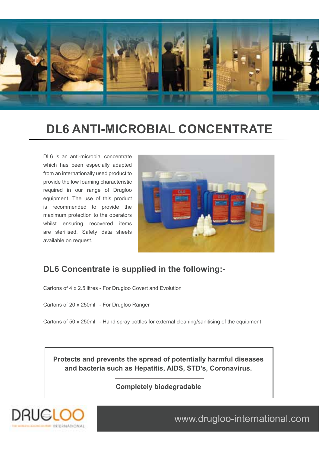

# **DL6 ANTI-MICROBIAL CONCENTRATE**

DL6 is an anti-microbial concentrate which has been especially adapted from an internationally used product to provide the low foaming characteristic required in our range of Drugloo equipment. The use of this product is recommended to provide the maximum protection to the operators whilst ensuring recovered items are sterilised. Safety data sheets available on request.



### **DL6 Concentrate is supplied in the following:-**

Cartons of 4 x 2.5 litres - For Drugloo Covert and Evolution

Cartons of 20 x 250ml - For Drugloo Ranger

Cartons of 50 x 250ml - Hand spray bottles for external cleaning/sanitising of the equipment

**Protects and prevents the spread of potentially harmful diseases and bacteria such as Hepatitis, AIDS, STD's, Coronavirus.**

**Completely biodegradable**



l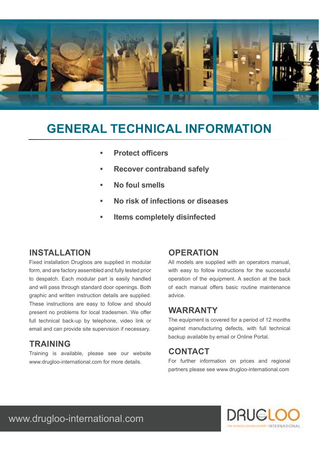

# **GENERAL TECHNICAL INFORMATION**

- **• Protect officers**
- **• Recover contraband safely**
- **• No foul smells**
- **• No risk of infections or diseases**
- **• Items completely disinfected**

### **Installation**

Fixed installation Drugloos are supplied in modular form, and are factory assembled and fully tested prior to despatch. Each modular part is easily handled and will pass through standard door openings. Both graphic and written instruction details are supplied. These instructions are easy to follow and should present no problems for local tradesmen. We offer full technical back-up by telephone, video link or email and can provide site supervision if necessary.

### **Training**

Training is available, please see our website www.drugloo-international.com for more details.

#### **Operation**

All models are supplied with an operators manual, with easy to follow instructions for the successful operation of the equipment. A section at the back of each manual offers basic routine maintenance advice.

#### **Warranty**

The equipment is covered for a period of 12 months against manufacturing defects, with full technical backup available by email or Online Portal.

#### **CONTACT**

For further information on prices and regional partners please see www.drugloo-international.com

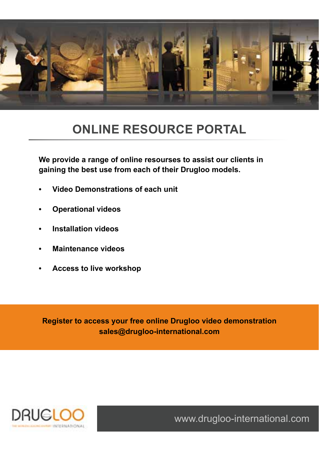

# **ONLINE RESOURCE PORTAL**

**We provide a range of online resourses to assist our clients in gaining the best use from each of their Drugloo models.**

- **Video Demonstrations of each unit**
- **Operational videos**
- **Installation videos**
- **• Maintenance videos**
- **Access to live workshop**

**Register to access your free online Drugloo video demonstration sales@drugloo-international.com**

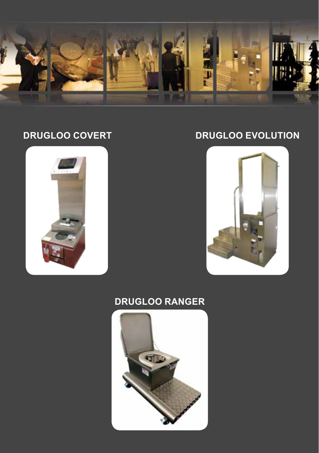

# **Drugloo COVERT**



# **Drugloo EVOLUTION**



# **Drugloo RANGER**